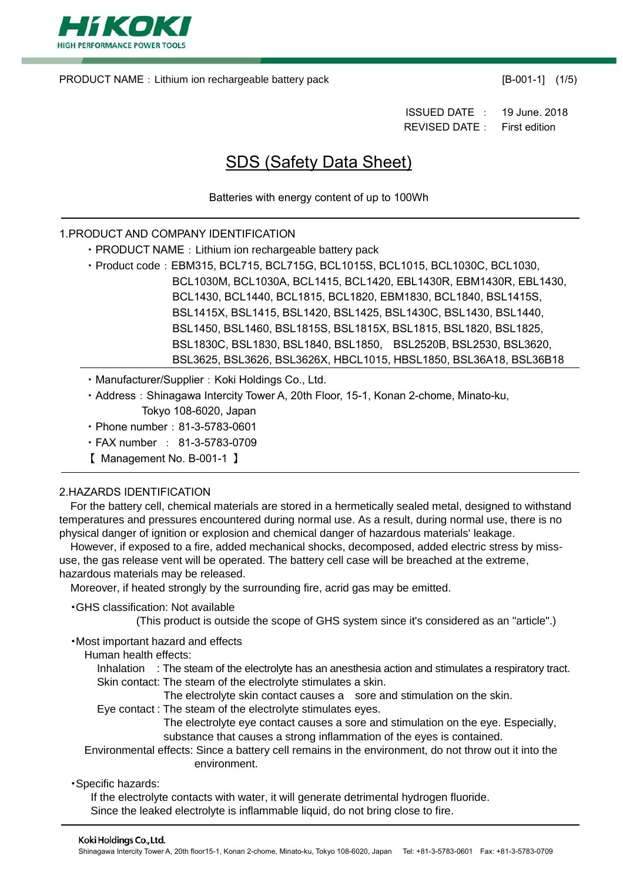

PRODUCT NAME: Lithium ion rechargeable battery pack [B-001-1] (1/5)

ISSUED DATE : 19 June. 2018 REVISED DATE: First edition

# SDS (Safety Data Sheet)

Batteries with energy content of up to 100Wh

## 1.PRODUCT AND COMPANY IDENTIFICATION

- PRODUCT NAME: Lithium ion rechargeable battery pack
- · Product code: EBM315, BCL715, BCL715G, BCL1015S, BCL1015, BCL1030C, BCL1030, BCL1030M, BCL1030A, BCL1415, BCL1420, EBL1430R, EBM1430R, EBL1430, BCL1430, BCL1440, BCL1815, BCL1820, EBM1830, BCL1840, BSL1415S, BSL1415X, BSL1415, BSL1420, BSL1425, BSL1430C, BSL1430, BSL1440, BSL1450, BSL1460, BSL1815S, BSL1815X, BSL1815, BSL1820, BSL1825, BSL1830C, BSL1830, BSL1840, BSL1850, BSL2520B, BSL2530, BSL3620, BSL3625, BSL3626, BSL3626X, HBCL1015, HBSL1850, BSL36A18, BSL36B18
- Manufacturer/Supplier: Koki Holdings Co., Ltd.
- Address: Shinagawa Intercity Tower A, 20th Floor, 15-1, Konan 2-chome, Minato-ku,
	- Tokyo 108-6020, Japan
- ・Phone number:81-3-5783-0601
- ・FAX number : 81-3-5783-0709
- 【 Management No. B-001-1 】

## 2.HAZARDS IDENTIFICATION

For the battery cell, chemical materials are stored in a hermetically sealed metal, designed to withstand temperatures and pressures encountered during normal use. As a result, during normal use, there is no physical danger of ignition or explosion and chemical danger of hazardous materials' leakage.

However, if exposed to a fire, added mechanical shocks, decomposed, added electric stress by missuse, the gas release vent will be operated. The battery cell case will be breached at the extreme, hazardous materials may be released.

Moreover, if heated strongly by the surrounding fire, acrid gas may be emitted.

・GHS classification: Not available

(This product is outside the scope of GHS system since it's considered as an "article".)

・Most important hazard and effects

Human health effects:

Inhalation : The steam of the electrolyte has an anesthesia action and stimulates a respiratory tract. Skin contact: The steam of the electrolyte stimulates a skin.

- The electrolyte skin contact causes a sore and stimulation on the skin.
- Eye contact : The steam of the electrolyte stimulates eyes.

The electrolyte eye contact causes a sore and stimulation on the eye. Especially, substance that causes a strong inflammation of the eyes is contained.

Environmental effects: Since a battery cell remains in the environment, do not throw out it into the environment.

・Specific hazards:

If the electrolyte contacts with water, it will generate detrimental hydrogen fluoride. Since the leaked electrolyte is inflammable liquid, do not bring close to fire.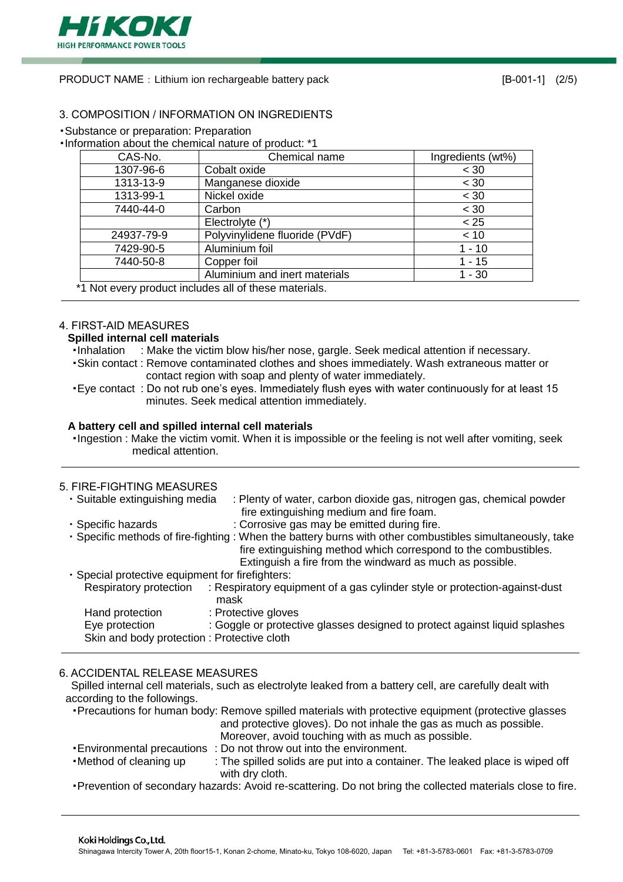

PRODUCT NAME: Lithium ion rechargeable battery pack [B-001-1] (2/5)

## 3. COMPOSITION / INFORMATION ON INGREDIENTS

・Substance or preparation: Preparation

| CAS-No.    | Chemical name                  | Ingredients (wt%) |
|------------|--------------------------------|-------------------|
| 1307-96-6  | Cobalt oxide                   | < 30              |
| 1313-13-9  | Manganese dioxide              | < 30              |
| 1313-99-1  | Nickel oxide                   | < 30              |
| 7440-44-0  | Carbon                         | < 30              |
|            | Electrolyte (*)                | < 25              |
| 24937-79-9 | Polyvinylidene fluoride (PVdF) | < 10              |
| 7429-90-5  | Aluminium foil                 | $1 - 10$          |
| 7440-50-8  | Copper foil                    | $1 - 15$          |
|            | Aluminium and inert materials  | 1 - 30            |

#### 4. FIRST-AID MEASURES

## **Spilled internal cell materials**

- ・Inhalation : Make the victim blow his/her nose, gargle. Seek medical attention if necessary.
- ・Skin contact : Remove contaminated clothes and shoes immediately. Wash extraneous matter or contact region with soap and plenty of water immediately.
- ・Eye contact : Do not rub one's eyes. Immediately flush eyes with water continuously for at least 15 minutes. Seek medical attention immediately.

#### **A battery cell and spilled internal cell materials**

・Ingestion : Make the victim vomit. When it is impossible or the feeling is not well after vomiting, seek medical attention.

## 5. FIRE-FIGHTING MEASURES

| : Plenty of water, carbon dioxide gas, nitrogen gas, chemical powder<br>fire extinguishing medium and fire foam.                                                                                                                         |
|------------------------------------------------------------------------------------------------------------------------------------------------------------------------------------------------------------------------------------------|
| : Corrosive gas may be emitted during fire.                                                                                                                                                                                              |
| . Specific methods of fire-fighting : When the battery burns with other combustibles simultaneously, take<br>fire extinguishing method which correspond to the combustibles.<br>Extinguish a fire from the windward as much as possible. |
| · Special protective equipment for firefighters:                                                                                                                                                                                         |
| : Respiratory equipment of a gas cylinder style or protection-against-dust<br>mask                                                                                                                                                       |
| : Protective gloves                                                                                                                                                                                                                      |
| : Goggle or protective glasses designed to protect against liquid splashes                                                                                                                                                               |
| Skin and body protection: Protective cloth                                                                                                                                                                                               |
|                                                                                                                                                                                                                                          |

## 6. ACCIDENTAL RELEASE MEASURES

Spilled internal cell materials, such as electrolyte leaked from a battery cell, are carefully dealt with according to the followings.

- ・Precautions for human body: Remove spilled materials with protective equipment (protective glasses and protective gloves). Do not inhale the gas as much as possible. Moreover, avoid touching with as much as possible. ・Environmental precautions : Do not throw out into the environment. • Method of cleaning up : The spilled solids are put into a container. The leaked place is wiped off
- with dry cloth. ・Prevention of secondary hazards: Avoid re-scattering. Do not bring the collected materials close to fire.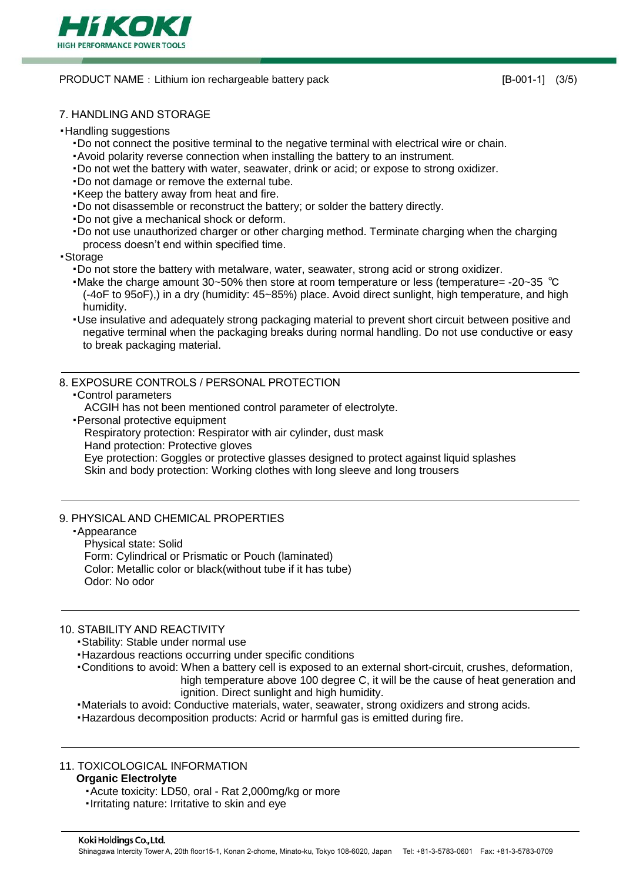

#### PRODUCT NAME: Lithium ion rechargeable battery pack [B-001-1] (3/5)

## 7. HANDLING AND STORAGE

#### ・Handling suggestions

- ・Do not connect the positive terminal to the negative terminal with electrical wire or chain.
- ・Avoid polarity reverse connection when installing the battery to an instrument.
- ・Do not wet the battery with water, seawater, drink or acid; or expose to strong oxidizer.
- ・Do not damage or remove the external tube.
- ・Keep the battery away from heat and fire.
- ・Do not disassemble or reconstruct the battery; or solder the battery directly.
- ・Do not give a mechanical shock or deform.
- ・Do not use unauthorized charger or other charging method. Terminate charging when the charging process doesn't end within specified time.

#### ・Storage

- ・Do not store the battery with metalware, water, seawater, strong acid or strong oxidizer.
- ・Make the charge amount 30~50% then store at room temperature or less (temperature= -20~35 ℃ (-4oF to 95oF),) in a dry (humidity: 45~85%) place. Avoid direct sunlight, high temperature, and high humidity.
- ・Use insulative and adequately strong packaging material to prevent short circuit between positive and negative terminal when the packaging breaks during normal handling. Do not use conductive or easy to break packaging material.

## 8. EXPOSURE CONTROLS / PERSONAL PROTECTION

・Control parameters

ACGIH has not been mentioned control parameter of electrolyte.

・Personal protective equipment

Respiratory protection: Respirator with air cylinder, dust mask

Hand protection: Protective gloves

Eye protection: Goggles or protective glasses designed to protect against liquid splashes

Skin and body protection: Working clothes with long sleeve and long trousers

## 9. PHYSICAL AND CHEMICAL PROPERTIES

## ・Appearance

Physical state: Solid Form: Cylindrical or Prismatic or Pouch (laminated) Color: Metallic color or black(without tube if it has tube) Odor: No odor

## 10. STABILITY AND REACTIVITY

・Stability: Stable under normal use

・Hazardous reactions occurring under specific conditions

- ・Conditions to avoid: When a battery cell is exposed to an external short-circuit, crushes, deformation, high temperature above 100 degree C, it will be the cause of heat generation and ignition. Direct sunlight and high humidity.
- ・Materials to avoid: Conductive materials, water, seawater, strong oxidizers and strong acids.

・Hazardous decomposition products: Acrid or harmful gas is emitted during fire.

## 11. TOXICOLOGICAL INFORMATION

## **Organic Electrolyte**

- ・Acute toxicity: LD50, oral Rat 2,000mg/kg or more
- ・Irritating nature: Irritative to skin and eye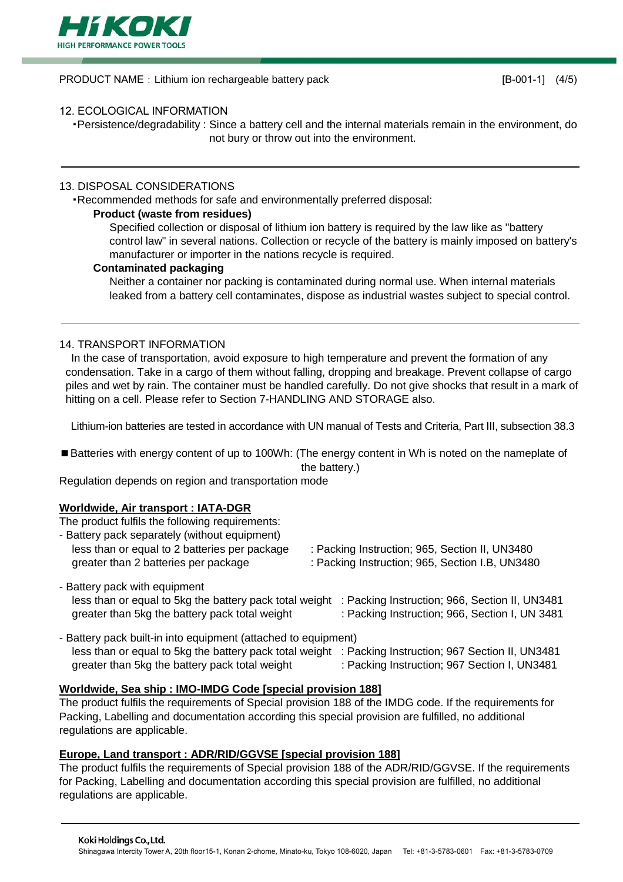

PRODUCT NAME: Lithium ion rechargeable battery pack [B-001-1] (4/5)

## 12. ECOLOGICAL INFORMATION

・Persistence/degradability : Since a battery cell and the internal materials remain in the environment, do not bury or throw out into the environment.

## 13. DISPOSAL CONSIDERATIONS

・Recommended methods for safe and environmentally preferred disposal:

## **Product (waste from residues)**

Specified collection or disposal of lithium ion battery is required by the law like as "battery control law" in several nations. Collection or recycle of the battery is mainly imposed on battery's manufacturer or importer in the nations recycle is required.

#### **Contaminated packaging**

Neither a container nor packing is contaminated during normal use. When internal materials leaked from a battery cell contaminates, dispose as industrial wastes subject to special control.

## 14. TRANSPORT INFORMATION

In the case of transportation, avoid exposure to high temperature and prevent the formation of any condensation. Take in a cargo of them without falling, dropping and breakage. Prevent collapse of cargo piles and wet by rain. The container must be handled carefully. Do not give shocks that result in a mark of hitting on a cell. Please refer to Section 7-HANDLING AND STORAGE also.

Lithium-ion batteries are tested in accordance with UN manual of Tests and Criteria, Part III, subsection 38.3

■Batteries with energy content of up to 100Wh: (The energy content in Wh is noted on the nameplate of the battery.)

Regulation depends on region and transportation mode

## **Worldwide, Air transport : IATA-DGR**

The product fulfils the following requirements:

| - Battery pack separately (without equipment) |               |
|-----------------------------------------------|---------------|
| less than or equal to 2 batteries per package | : Packing Ins |
| greater than 2 batteries per package          | : Packing Ins |

- struction; 965, Section II, UN3480
- struction; 965, Section I.B, UN3480
- Battery pack with equipment less than or equal to 5kg the battery pack total weight : Packing Instruction; 966, Section II, UN3481 greater than 5kg the battery pack total weight : Packing Instruction; 966, Section I, UN 3481
- Battery pack built-in into equipment (attached to equipment) less than or equal to 5kg the battery pack total weight : Packing Instruction; 967 Section II, UN3481 greater than 5kg the battery pack total weight : Packing Instruction; 967 Section I, UN3481

## **Worldwide, Sea ship : IMO-IMDG Code [special provision 188]**

The product fulfils the requirements of Special provision 188 of the IMDG code. If the requirements for Packing, Labelling and documentation according this special provision are fulfilled, no additional regulations are applicable.

## **Europe, Land transport : ADR/RID/GGVSE [special provision 188]**

The product fulfils the requirements of Special provision 188 of the ADR/RID/GGVSE. If the requirements for Packing, Labelling and documentation according this special provision are fulfilled, no additional regulations are applicable.